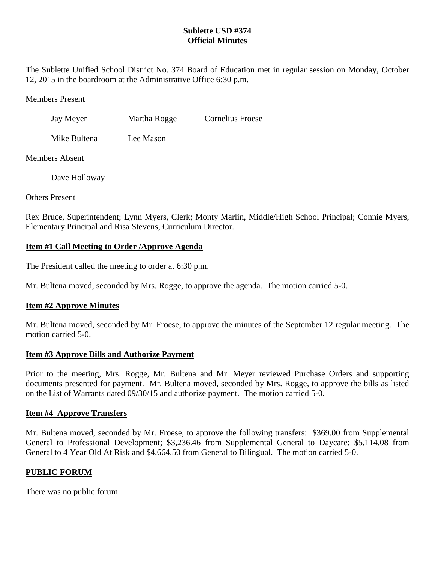## **Sublette USD #374 Official Minutes**

The Sublette Unified School District No. 374 Board of Education met in regular session on Monday, October 12, 2015 in the boardroom at the Administrative Office 6:30 p.m.

Members Present

Jay Meyer Martha Rogge Cornelius Froese

Mike Bultena Lee Mason

Members Absent

Dave Holloway

Others Present

Rex Bruce, Superintendent; Lynn Myers, Clerk; Monty Marlin, Middle/High School Principal; Connie Myers, Elementary Principal and Risa Stevens, Curriculum Director.

# **Item #1 Call Meeting to Order /Approve Agenda**

The President called the meeting to order at 6:30 p.m.

Mr. Bultena moved, seconded by Mrs. Rogge, to approve the agenda. The motion carried 5-0.

## **Item #2 Approve Minutes**

Mr. Bultena moved, seconded by Mr. Froese, to approve the minutes of the September 12 regular meeting. The motion carried 5-0.

## **Item #3 Approve Bills and Authorize Payment**

Prior to the meeting, Mrs. Rogge, Mr. Bultena and Mr. Meyer reviewed Purchase Orders and supporting documents presented for payment. Mr. Bultena moved, seconded by Mrs. Rogge, to approve the bills as listed on the List of Warrants dated 09/30/15 and authorize payment. The motion carried 5-0.

## **Item #4 Approve Transfers**

Mr. Bultena moved, seconded by Mr. Froese, to approve the following transfers: \$369.00 from Supplemental General to Professional Development; \$3,236.46 from Supplemental General to Daycare; \$5,114.08 from General to 4 Year Old At Risk and \$4,664.50 from General to Bilingual. The motion carried 5-0.

# **PUBLIC FORUM**

There was no public forum.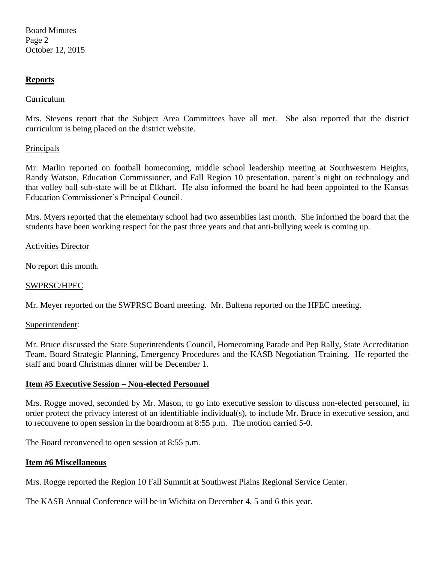Board Minutes Page 2 October 12, 2015

### **Reports**

### Curriculum

Mrs. Stevens report that the Subject Area Committees have all met. She also reported that the district curriculum is being placed on the district website.

### Principals

Mr. Marlin reported on football homecoming, middle school leadership meeting at Southwestern Heights, Randy Watson, Education Commissioner, and Fall Region 10 presentation, parent's night on technology and that volley ball sub-state will be at Elkhart. He also informed the board he had been appointed to the Kansas Education Commissioner's Principal Council.

Mrs. Myers reported that the elementary school had two assemblies last month. She informed the board that the students have been working respect for the past three years and that anti-bullying week is coming up.

### Activities Director

No report this month.

#### SWPRSC/HPEC

Mr. Meyer reported on the SWPRSC Board meeting. Mr. Bultena reported on the HPEC meeting.

#### Superintendent:

Mr. Bruce discussed the State Superintendents Council, Homecoming Parade and Pep Rally, State Accreditation Team, Board Strategic Planning, Emergency Procedures and the KASB Negotiation Training. He reported the staff and board Christmas dinner will be December 1.

### **Item #5 Executive Session – Non-elected Personnel**

Mrs. Rogge moved, seconded by Mr. Mason, to go into executive session to discuss non-elected personnel, in order protect the privacy interest of an identifiable individual(s), to include Mr. Bruce in executive session, and to reconvene to open session in the boardroom at 8:55 p.m. The motion carried 5-0.

The Board reconvened to open session at 8:55 p.m.

#### **Item #6 Miscellaneous**

Mrs. Rogge reported the Region 10 Fall Summit at Southwest Plains Regional Service Center.

The KASB Annual Conference will be in Wichita on December 4, 5 and 6 this year.